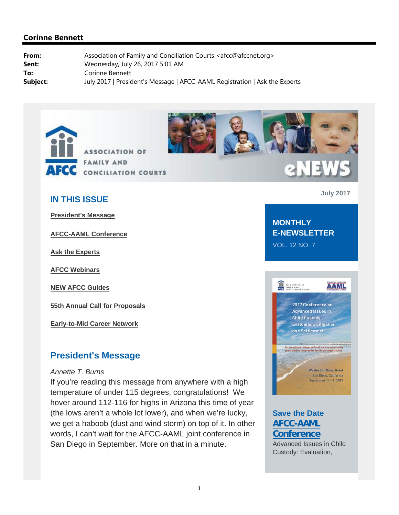



# **2NEW**

# **IN THIS ISSUE**

**President's Message**

**AFCC-AAML Conference**

**Ask the Experts**

**AFCC Webinars**

**NEW AFCC Guides**

**55th Annual Call for Proposals**

**Early-to-Mid Career Network**

# **President's Message**

#### *Annette T. Burns*

If you're reading this message from anywhere with a high temperature of under 115 degrees, congratulations! We hover around 112-116 for highs in Arizona this time of year (the lows aren't a whole lot lower), and when we're lucky, we get a haboob (dust and wind storm) on top of it. In other words, I can't wait for the AFCC-AAML joint conference in San Diego in September. More on that in a minute.

**July 2017**

# **MONTHLY E-NEWSLETTER**

VOL. 12 NO. 7



# **Save the Date AFCC-AAML Conference**

Advanced Issues in Child Custody: Evaluation,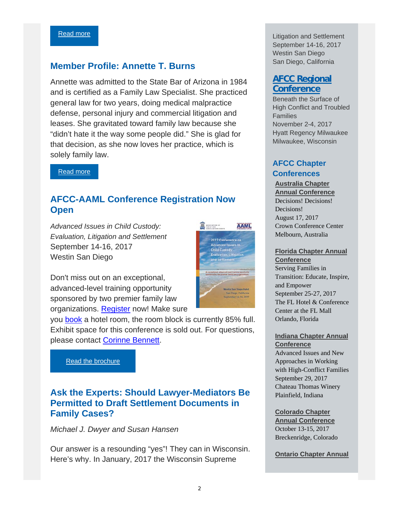# **Member Profile: Annette T. Burns**

Annette was admitted to the State Bar of Arizona in 1984 and is certified as a Family Law Specialist. She practiced general law for two years, doing medical malpractice defense, personal injury and commercial litigation and leases. She gravitated toward family law because she "didn't hate it the way some people did." She is glad for that decision, as she now loves her practice, which is solely family law.

Read more

# **AFCC-AAML Conference Registration Now Open**

*Advanced Issues in Child Custody: Evaluation, Litigation and Settlement*  September 14-16, 2017 Westin San Diego



Don't miss out on an exceptional, advanced-level training opportunity sponsored by two premier family law organizations. Register now! Make sure

you book a hotel room, the room block is currently 85% full. Exhibit space for this conference is sold out. For questions, please contact Corinne Bennett.

Read the brochure

# **Ask the Experts: Should Lawyer-Mediators Be Permitted to Draft Settlement Documents in Family Cases?**

*Michael J. Dwyer and Susan Hansen*

Our answer is a resounding "yes"! They can in Wisconsin. Here's why. In January, 2017 the Wisconsin Supreme

Litigation and Settlement September 14-16, 2017 Westin San Diego San Diego, California

# **AFCC Regional Conference**

Beneath the Surface of High Conflict and Troubled Families November 2-4, 2017 Hyatt Regency Milwaukee Milwaukee, Wisconsin

# **AFCC Chapter Conferences**

**Australia Chapter Annual Conference**  Decisions! Decisions! Decisions! August 17, 2017

Crown Conference Center Melbourn, Australia

#### **Florida Chapter Annual**

**Conference**  Serving Families in Transition: Educate, Inspire, and Empower September 25-27, 2017 The FL Hotel & Conference Center at the FL Mall Orlando, Florida

**Indiana Chapter Annual Conference**

Advanced Issues and New Approaches in Working with High-Conflict Families September 29, 2017 Chateau Thomas Winery Plainfield, Indiana

#### **Colorado Chapter**

**Annual Conference**  October 13-15, 2017 Breckenridge, Colorado

**Ontario Chapter Annual**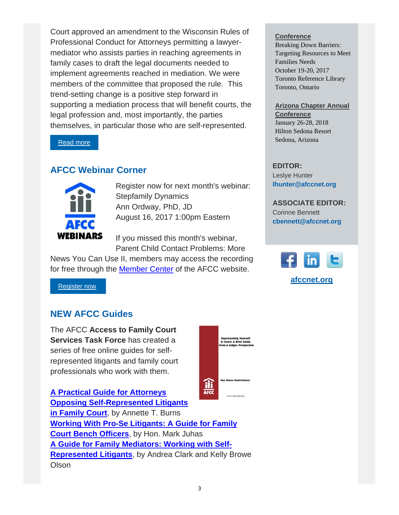Court approved an amendment to the Wisconsin Rules of Professional Conduct for Attorneys permitting a lawyermediator who assists parties in reaching agreements in family cases to draft the legal documents needed to implement agreements reached in mediation. We were members of the committee that proposed the rule. This trend-setting change is a positive step forward in supporting a mediation process that will benefit courts, the legal profession and, most importantly, the parties themselves, in particular those who are self-represented.

Read more

# **AFCC Webinar Corner**



Register now for next month's webinar: Stepfamily Dynamics Ann Ordway, PhD, JD August 16, 2017 1:00pm Eastern

If you missed this month's webinar, Parent Child Contact Problems: More

News You Can Use II, members may access the recording for free through the Member Center of the AFCC website.

Register now

# **NEW AFCC Guides**

The AFCC **Access to Family Court Services Task Force** has created a series of free online guides for selfrepresented litigants and family court professionals who work with them.



**A Practical Guide for Attorneys Opposing Self-Represented Litigants in Family Court**, by Annette T. Burns **Working With Pro-Se Litigants: A Guide for Family Court Bench Officers**, by Hon. Mark Juhas **A Guide for Family Mediators: Working with Self-Represented Litigants**, by Andrea Clark and Kelly Browe **Olson** 

#### **Conference**

Breaking Down Barriers: Targeting Resources to Meet Families Needs October 19-20, 2017 Toronto Reference Library Toronto, Ontario

### **Arizona Chapter Annual**

**Conference**  January 26-28, 2018 Hilton Sedona Resort Sedona, Arizona

#### **EDITOR:** Leslye Hunter **lhunter@afccnet.org**

**ASSOCIATE EDITOR:**

Corinne Bennett **cbennett@afccnet.org**



**afccnet.org**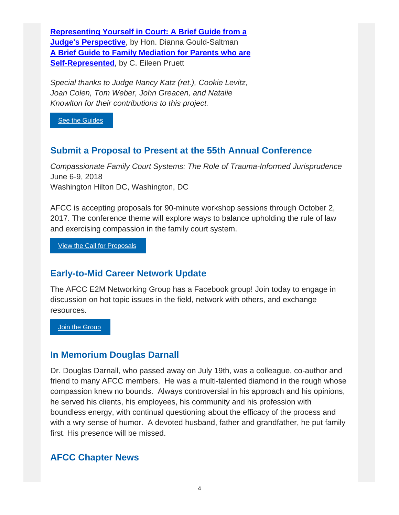**Representing Yourself in Court: A Brief Guide from a Judge's Perspective**, by Hon. Dianna Gould-Saltman **A Brief Guide to Family Mediation for Parents who are Self-Represented, by C. Eileen Pruett** 

*Special thanks to Judge Nancy Katz (ret.), Cookie Levitz, Joan Colen, Tom Weber, John Greacen, and Natalie Knowlton for their contributions to this project.*

See the Guides

# **Submit a Proposal to Present at the 55th Annual Conference**

*Compassionate Family Court Systems: The Role of Trauma-Informed Jurisprudence* June 6-9, 2018 Washington Hilton DC, Washington, DC

AFCC is accepting proposals for 90-minute workshop sessions through October 2, 2017. The conference theme will explore ways to balance upholding the rule of law and exercising compassion in the family court system.

View the Call for Proposals

# **Early-to-Mid Career Network Update**

The AFCC E2M Networking Group has a Facebook group! Join today to engage in discussion on hot topic issues in the field, network with others, and exchange resources.

**Join the Group** 

# **In Memorium Douglas Darnall**

Dr. Douglas Darnall, who passed away on July 19th, was a colleague, co-author and friend to many AFCC members. He was a multi-talented diamond in the rough whose compassion knew no bounds. Always controversial in his approach and his opinions, he served his clients, his employees, his community and his profession with boundless energy, with continual questioning about the efficacy of the process and with a wry sense of humor. A devoted husband, father and grandfather, he put family first. His presence will be missed.

# **AFCC Chapter News**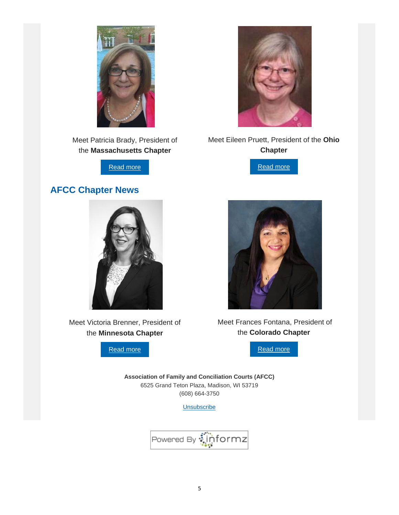

Meet Patricia Brady, President of the **Massachusetts Chapter**

Read more

# **AFCC Chapter News**



Meet Victoria Brenner, President of the **Minnesota Chapter**

Read more



Meet Eileen Pruett, President of the **Ohio Chapter**

Read more



 Meet Frances Fontana, President of the **Colorado Chapter**



**Association of Family and Conciliation Courts (AFCC)** 6525 Grand Teton Plaza, Madison, WI 53719 (608) 664-3750

**Unsubscribe** 

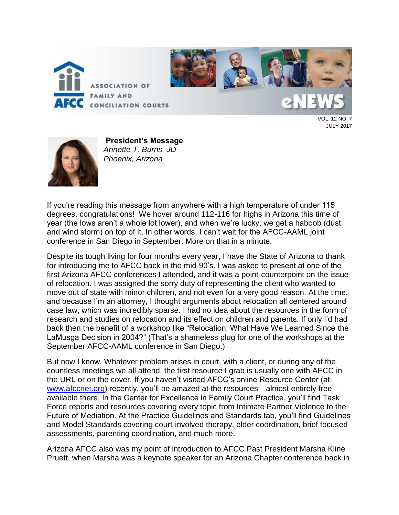

VOL. 12 NO. 7 JULY 2017



**President's Message** *Annette T. Burns, JD Phoenix, Arizona*

If you're reading this message from anywhere with a high temperature of under 115 degrees, congratulations! We hover around 112-116 for highs in Arizona this time of year (the lows aren't a whole lot lower), and when we're lucky, we get a haboob (dust and wind storm) on top of it. In other words, I can't wait for the AFCC-AAML joint conference in San Diego in September. More on that in a minute.

Despite its tough living for four months every year, I have the State of Arizona to thank for introducing me to AFCC back in the mid-90's. I was asked to present at one of the first Arizona AFCC conferences I attended, and it was a point-counterpoint on the issue of relocation. I was assigned the sorry duty of representing the client who wanted to move out of state with minor children, and not even for a very good reason. At the time, and because I'm an attorney, I thought arguments about relocation all centered around case law, which was incredibly sparse. I had no idea about the resources in the form of research and studies on relocation and its effect on children and parents. If only I'd had back then the benefit of a workshop like "Relocation: What Have We Learned Since the LaMusga Decision in 2004?" (That's a shameless plug for one of the workshops at the September AFCC-AAML conference in San Diego.)

But now I know. Whatever problem arises in court, with a client, or during any of the countless meetings we all attend, the first resource I grab is usually one with AFCC in the URL or on the cover. If you haven't visited AFCC's online Resource Center (at [www.afccnet.org\)](http://www.afccnet.org/) recently, you'll be amazed at the resources—almost entirely free available there. In the Center for Excellence in Family Court Practice, you'll find Task Force reports and resources covering every topic from Intimate Partner Violence to the Future of Mediation. At the Practice Guidelines and Standards tab, you'll find Guidelines and Model Standards covering court-involved therapy, elder coordination, brief focused assessments, parenting coordination, and much more.

Arizona AFCC also was my point of introduction to AFCC Past President Marsha Kline Pruett, when Marsha was a keynote speaker for an Arizona Chapter conference back in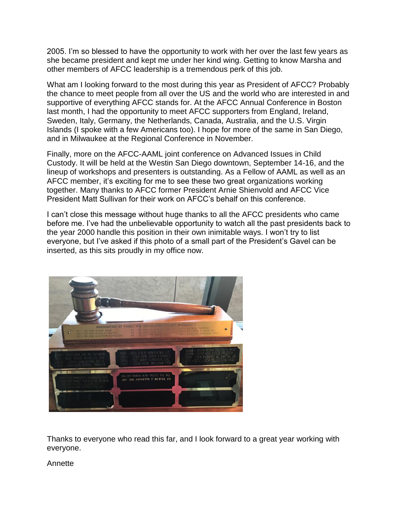2005. I'm so blessed to have the opportunity to work with her over the last few years as she became president and kept me under her kind wing. Getting to know Marsha and other members of AFCC leadership is a tremendous perk of this job.

What am I looking forward to the most during this year as President of AFCC? Probably the chance to meet people from all over the US and the world who are interested in and supportive of everything AFCC stands for. At the AFCC Annual Conference in Boston last month, I had the opportunity to meet AFCC supporters from England, Ireland, Sweden, Italy, Germany, the Netherlands, Canada, Australia, and the U.S. Virgin Islands (I spoke with a few Americans too). I hope for more of the same in San Diego, and in Milwaukee at the Regional Conference in November.

Finally, more on the AFCC-AAML joint conference on Advanced Issues in Child Custody. It will be held at the Westin San Diego downtown, September 14-16, and the lineup of workshops and presenters is outstanding. As a Fellow of AAML as well as an AFCC member, it's exciting for me to see these two great organizations working together. Many thanks to AFCC former President Arnie Shienvold and AFCC Vice President Matt Sullivan for their work on AFCC's behalf on this conference.

I can't close this message without huge thanks to all the AFCC presidents who came before me. I've had the unbelievable opportunity to watch all the past presidents back to the year 2000 handle this position in their own inimitable ways. I won't try to list everyone, but I've asked if this photo of a small part of the President's Gavel can be inserted, as this sits proudly in my office now.



Thanks to everyone who read this far, and I look forward to a great year working with everyone.

Annette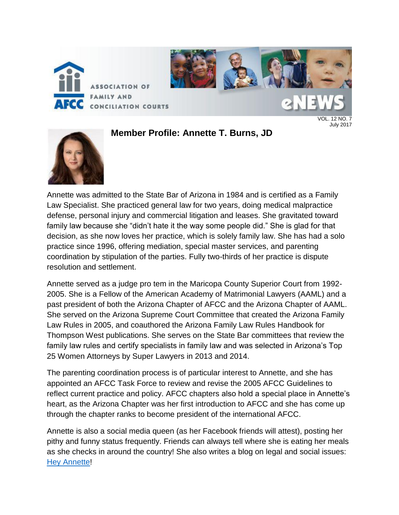

**Member Profile: Annette T. Burns, JD**

VOL. 12 NO. 7 July 2017



Annette was admitted to the State Bar of Arizona in 1984 and is certified as a Family Law Specialist. She practiced general law for two years, doing medical malpractice defense, personal injury and commercial litigation and leases. She gravitated toward family law because she "didn't hate it the way some people did." She is glad for that decision, as she now loves her practice, which is solely family law. She has had a solo practice since 1996, offering mediation, special master services, and parenting coordination by stipulation of the parties. Fully two-thirds of her practice is dispute resolution and settlement.

Annette served as a judge pro tem in the Maricopa County Superior Court from 1992- 2005. She is a Fellow of the American Academy of Matrimonial Lawyers (AAML) and a past president of both the Arizona Chapter of AFCC and the Arizona Chapter of AAML. She served on the Arizona Supreme Court Committee that created the Arizona Family Law Rules in 2005, and coauthored the Arizona Family Law Rules Handbook for Thompson West publications. She serves on the State Bar committees that review the family law rules and certify specialists in family law and was selected in Arizona's Top 25 Women Attorneys by Super Lawyers in 2013 and 2014.

The parenting coordination process is of particular interest to Annette, and she has appointed an AFCC Task Force to review and revise the 2005 AFCC Guidelines to reflect current practice and policy. AFCC chapters also hold a special place in Annette's heart, as the Arizona Chapter was her first introduction to AFCC and she has come up through the chapter ranks to become president of the international AFCC.

Annette is also a social media queen (as her Facebook friends will attest), posting her pithy and funny status frequently. Friends can always tell where she is eating her meals as she checks in around the country! She also writes a blog on legal and social issues: [Hey Annette!](http://heyannette.com/blog/)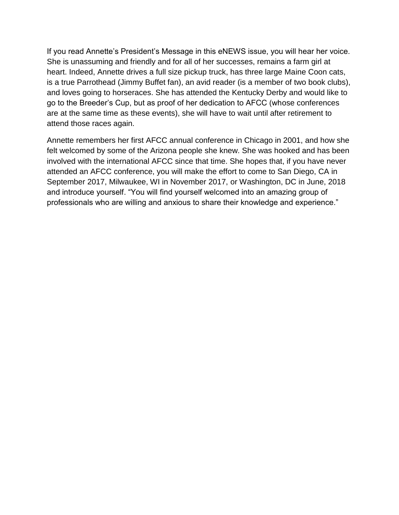If you read Annette's President's Message in this eNEWS issue, you will hear her voice. She is unassuming and friendly and for all of her successes, remains a farm girl at heart. Indeed, Annette drives a full size pickup truck, has three large Maine Coon cats, is a true Parrothead (Jimmy Buffet fan), an avid reader (is a member of two book clubs), and loves going to horseraces. She has attended the Kentucky Derby and would like to go to the Breeder's Cup, but as proof of her dedication to AFCC (whose conferences are at the same time as these events), she will have to wait until after retirement to attend those races again.

Annette remembers her first AFCC annual conference in Chicago in 2001, and how she felt welcomed by some of the Arizona people she knew. She was hooked and has been involved with the international AFCC since that time. She hopes that, if you have never attended an AFCC conference, you will make the effort to come to San Diego, CA in September 2017, Milwaukee, WI in November 2017, or Washington, DC in June, 2018 and introduce yourself. "You will find yourself welcomed into an amazing group of professionals who are willing and anxious to share their knowledge and experience."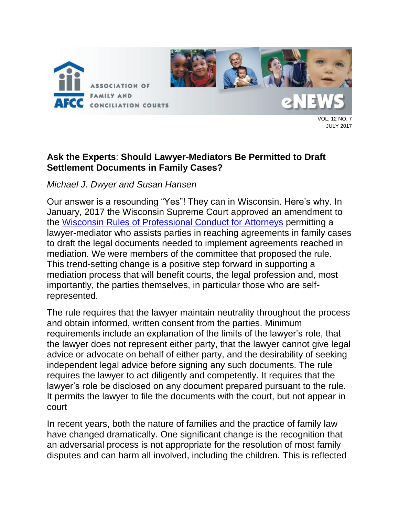

VOL. 12 NO. 7 JULY 2017

# **Ask the Experts**: **Should Lawyer-Mediators Be Permitted to Draft Settlement Documents in Family Cases?**

*Michael J. Dwyer and Susan Hansen*

Our answer is a resounding "Yes"! They can in Wisconsin. Here's why. In January, 2017 the Wisconsin Supreme Court approved an amendment to the [Wisconsin Rules of Professional Conduct for Attorneys](file://///afccfile01/common/eNEWS/2017/2017_07_July/Mediator%20Drafting%20Rule%20and%20applicable%20SCRs.pdf) permitting a lawyer-mediator who assists parties in reaching agreements in family cases to draft the legal documents needed to implement agreements reached in mediation. We were members of the committee that proposed the rule. This trend-setting change is a positive step forward in supporting a mediation process that will benefit courts, the legal profession and, most importantly, the parties themselves, in particular those who are selfrepresented.

The rule requires that the lawyer maintain neutrality throughout the process and obtain informed, written consent from the parties. Minimum requirements include an explanation of the limits of the lawyer's role, that the lawyer does not represent either party, that the lawyer cannot give legal advice or advocate on behalf of either party, and the desirability of seeking independent legal advice before signing any such documents. The rule requires the lawyer to act diligently and competently. It requires that the lawyer's role be disclosed on any document prepared pursuant to the rule. It permits the lawyer to file the documents with the court, but not appear in court

In recent years, both the nature of families and the practice of family law have changed dramatically. One significant change is the recognition that an adversarial process is not appropriate for the resolution of most family disputes and can harm all involved, including the children. This is reflected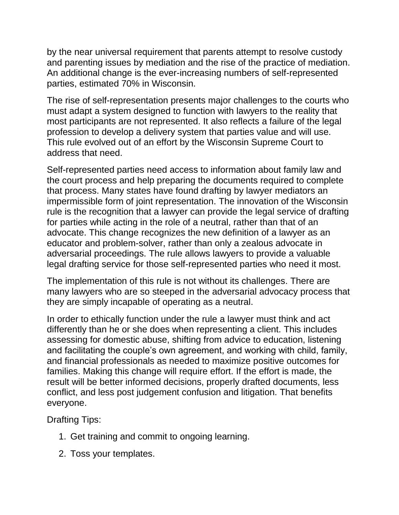by the near universal requirement that parents attempt to resolve custody and parenting issues by mediation and the rise of the practice of mediation. An additional change is the ever-increasing numbers of self-represented parties, estimated 70% in Wisconsin.

The rise of self-representation presents major challenges to the courts who must adapt a system designed to function with lawyers to the reality that most participants are not represented. It also reflects a failure of the legal profession to develop a delivery system that parties value and will use. This rule evolved out of an effort by the Wisconsin Supreme Court to address that need.

Self-represented parties need access to information about family law and the court process and help preparing the documents required to complete that process. Many states have found drafting by lawyer mediators an impermissible form of joint representation. The innovation of the Wisconsin rule is the recognition that a lawyer can provide the legal service of drafting for parties while acting in the role of a neutral, rather than that of an advocate. This change recognizes the new definition of a lawyer as an educator and problem-solver, rather than only a zealous advocate in adversarial proceedings. The rule allows lawyers to provide a valuable legal drafting service for those self-represented parties who need it most.

The implementation of this rule is not without its challenges. There are many lawyers who are so steeped in the adversarial advocacy process that they are simply incapable of operating as a neutral.

In order to ethically function under the rule a lawyer must think and act differently than he or she does when representing a client. This includes assessing for domestic abuse, shifting from advice to education, listening and facilitating the couple's own agreement, and working with child, family, and financial professionals as needed to maximize positive outcomes for families. Making this change will require effort. If the effort is made, the result will be better informed decisions, properly drafted documents, less conflict, and less post judgement confusion and litigation. That benefits everyone.

Drafting Tips:

- 1. Get training and commit to ongoing learning.
- 2. Toss your templates.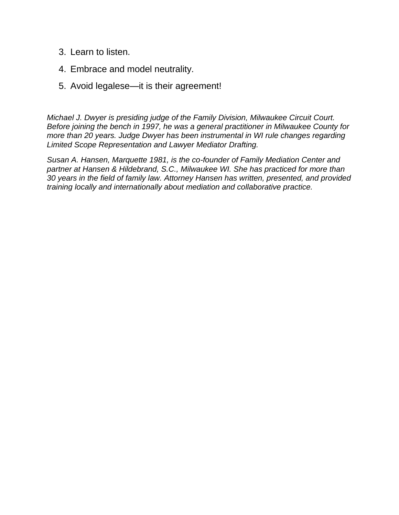- 3. Learn to listen.
- 4. Embrace and model neutrality.
- 5. Avoid legalese—it is their agreement!

*Michael J. Dwyer is presiding judge of the Family Division, Milwaukee Circuit Court. Before joining the bench in 1997, he was a general practitioner in Milwaukee County for more than 20 years. Judge Dwyer has been instrumental in WI rule changes regarding Limited Scope Representation and Lawyer Mediator Drafting.*

*Susan A. Hansen, Marquette 1981, is the co-founder of Family Mediation Center and partner at Hansen & Hildebrand, S.C., Milwaukee WI. She has practiced for more than 30 years in the field of family law. Attorney Hansen has written, presented, and provided training locally and internationally about mediation and collaborative practice.*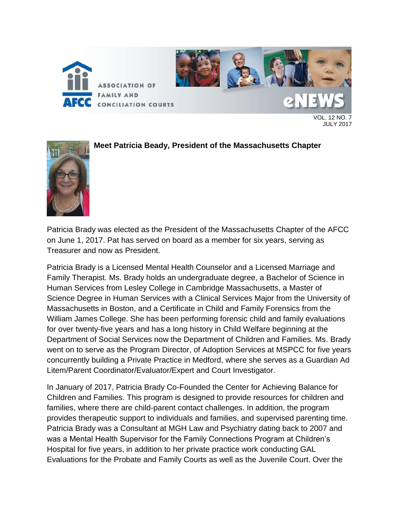

VOL. 12 NO. 7 JULY 2017



### **Meet Patricia Beady, President of the Massachusetts Chapter**

Patricia Brady was elected as the President of the Massachusetts Chapter of the AFCC on June 1, 2017. Pat has served on board as a member for six years, serving as Treasurer and now as President.

Patricia Brady is a Licensed Mental Health Counselor and a Licensed Marriage and Family Therapist. Ms. Brady holds an undergraduate degree, a Bachelor of Science in Human Services from Lesley College in Cambridge Massachusetts, a Master of Science Degree in Human Services with a Clinical Services Major from the University of Massachusetts in Boston, and a Certificate in Child and Family Forensics from the William James College. She has been performing forensic child and family evaluations for over twenty-five years and has a long history in Child Welfare beginning at the Department of Social Services now the Department of Children and Families. Ms. Brady went on to serve as the Program Director, of Adoption Services at MSPCC for five years concurrently building a Private Practice in Medford, where she serves as a Guardian Ad Litem/Parent Coordinator/Evaluator/Expert and Court Investigator.

In January of 2017, Patricia Brady Co-Founded the Center for Achieving Balance for Children and Families. This program is designed to provide resources for children and families, where there are child-parent contact challenges. In addition, the program provides therapeutic support to individuals and families, and supervised parenting time. Patricia Brady was a Consultant at MGH Law and Psychiatry dating back to 2007 and was a Mental Health Supervisor for the Family Connections Program at Children's Hospital for five years, in addition to her private practice work conducting GAL Evaluations for the Probate and Family Courts as well as the Juvenile Court. Over the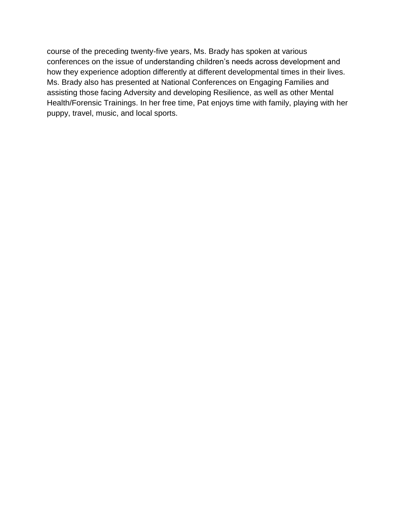course of the preceding twenty-five years, Ms. Brady has spoken at various conferences on the issue of understanding children's needs across development and how they experience adoption differently at different developmental times in their lives. Ms. Brady also has presented at National Conferences on Engaging Families and assisting those facing Adversity and developing Resilience, as well as other Mental Health/Forensic Trainings. In her free time, Pat enjoys time with family, playing with her puppy, travel, music, and local sports.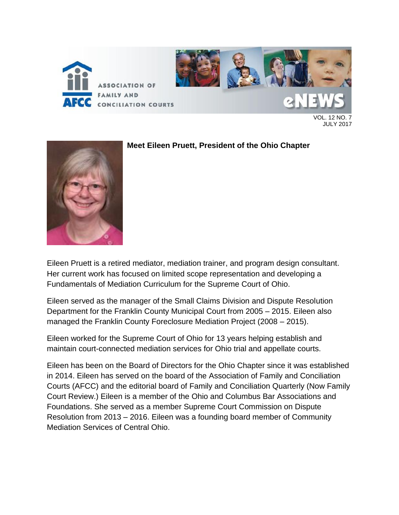

VOL. 12 NO. 7 JULY 2017



### **Meet Eileen Pruett, President of the Ohio Chapter**

Eileen Pruett is a retired mediator, mediation trainer, and program design consultant. Her current work has focused on limited scope representation and developing a Fundamentals of Mediation Curriculum for the Supreme Court of Ohio.

Eileen served as the manager of the Small Claims Division and Dispute Resolution Department for the Franklin County Municipal Court from 2005 – 2015. Eileen also managed the Franklin County Foreclosure Mediation Project (2008 – 2015).

Eileen worked for the Supreme Court of Ohio for 13 years helping establish and maintain court-connected mediation services for Ohio trial and appellate courts.

Eileen has been on the Board of Directors for the Ohio Chapter since it was established in 2014. Eileen has served on the board of the Association of Family and Conciliation Courts (AFCC) and the editorial board of Family and Conciliation Quarterly (Now Family Court Review.) Eileen is a member of the Ohio and Columbus Bar Associations and Foundations. She served as a member Supreme Court Commission on Dispute Resolution from 2013 – 2016. Eileen was a founding board member of Community Mediation Services of Central Ohio.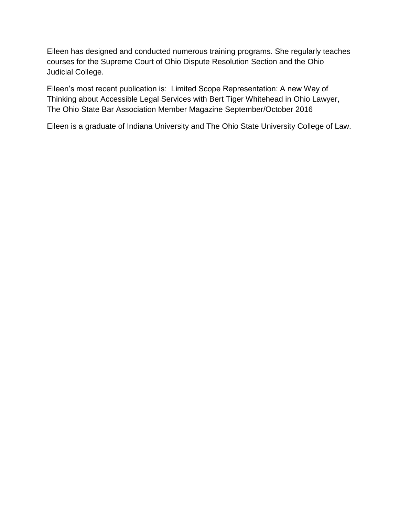Eileen has designed and conducted numerous training programs. She regularly teaches courses for the Supreme Court of Ohio Dispute Resolution Section and the Ohio Judicial College.

Eileen's most recent publication is: Limited Scope Representation: A new Way of Thinking about Accessible Legal Services with Bert Tiger Whitehead in Ohio Lawyer, The Ohio State Bar Association Member Magazine September/October 2016

Eileen is a graduate of Indiana University and The Ohio State University College of Law.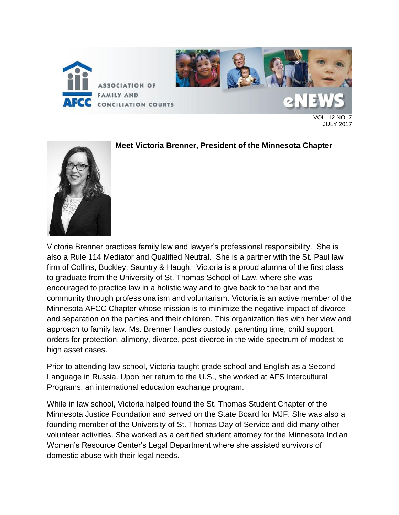

VOL. 12 NO. 7 JULY 2017



### **Meet Victoria Brenner, President of the Minnesota Chapter**

Victoria Brenner practices family law and lawyer's professional responsibility. She is also a Rule 114 Mediator and Qualified Neutral. She is a partner with the St. Paul law firm of Collins, Buckley, Sauntry & Haugh. Victoria is a proud alumna of the first class to graduate from the University of St. Thomas School of Law, where she was encouraged to practice law in a holistic way and to give back to the bar and the community through professionalism and voluntarism. Victoria is an active member of the Minnesota AFCC Chapter whose mission is to minimize the negative impact of divorce and separation on the parties and their children. This organization ties with her view and approach to family law. Ms. Brenner handles custody, parenting time, child support, orders for protection, alimony, divorce, post-divorce in the wide spectrum of modest to high asset cases.

Prior to attending law school, Victoria taught grade school and English as a Second Language in Russia. Upon her return to the U.S., she worked at AFS Intercultural Programs, an international education exchange program.

While in law school, Victoria helped found the St. Thomas Student Chapter of the Minnesota Justice Foundation and served on the State Board for MJF. She was also a founding member of the University of St. Thomas Day of Service and did many other volunteer activities. She worked as a certified student attorney for the Minnesota Indian Women's Resource Center's Legal Department where she assisted survivors of domestic abuse with their legal needs.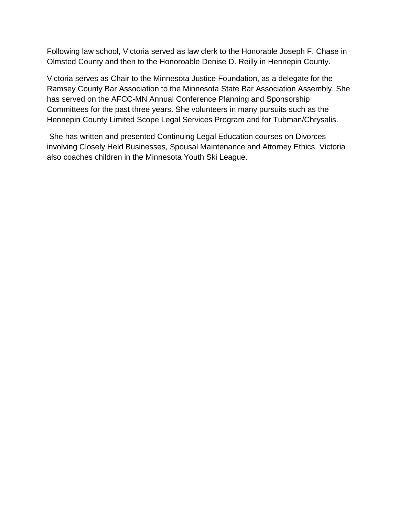Following law school, Victoria served as law clerk to the Honorable Joseph F. Chase in Olmsted County and then to the Honoroable Denise D. Reilly in Hennepin County.

Victoria serves as Chair to the Minnesota Justice Foundation, as a delegate for the Ramsey County Bar Association to the Minnesota State Bar Association Assembly. She has served on the AFCC-MN Annual Conference Planning and Sponsorship Committees for the past three years. She volunteers in many pursuits such as the Hennepin County Limited Scope Legal Services Program and for Tubman/Chrysalis.

She has written and presented Continuing Legal Education courses on Divorces involving Closely Held Businesses, Spousal Maintenance and Attorney Ethics. Victoria also coaches children in the Minnesota Youth Ski League.